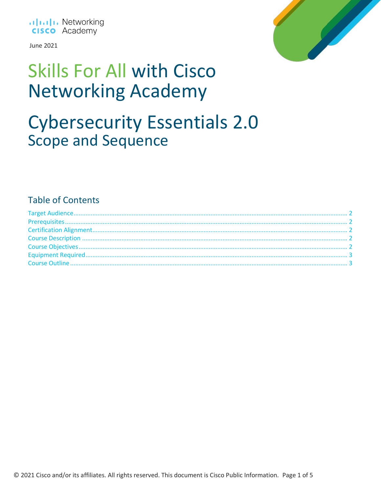

June 2021



# **Skills For All with Cisco Networking Academy**

### **Cybersecurity Essentials 2.0 Scope and Sequence**

### **Table of Contents**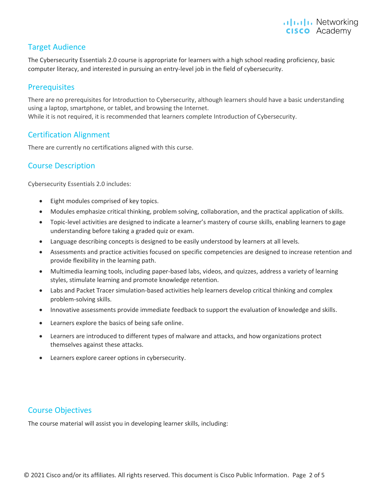#### <span id="page-1-0"></span>Target Audience

The Cybersecurity Essentials 2.0 course is appropriate for learners with a high school reading proficiency, basic computer literacy, and interested in pursuing an entry-level job in the field of cybersecurity.

#### <span id="page-1-1"></span>**Prerequisites**

There are no prerequisites for Introduction to Cybersecurity, although learners should have a basic understanding using a laptop, smartphone, or tablet, and browsing the Internet. While it is not required, it is recommended that learners complete Introduction of Cybersecurity.

#### <span id="page-1-2"></span>Certification Alignment

There are currently no certifications aligned with this curse.

#### <span id="page-1-3"></span>Course Description

Cybersecurity Essentials 2.0 includes:

- Eight modules comprised of key topics.
- Modules emphasize critical thinking, problem solving, collaboration, and the practical application of skills.
- Topic-level activities are designed to indicate a learner's mastery of course skills, enabling learners to gage understanding before taking a graded quiz or exam.
- Language describing concepts is designed to be easily understood by learners at all levels.
- Assessments and practice activities focused on specific competencies are designed to increase retention and provide flexibility in the learning path.
- Multimedia learning tools, including paper-based labs, videos, and quizzes, address a variety of learning styles, stimulate learning and promote knowledge retention.
- Labs and Packet Tracer simulation-based activities help learners develop critical thinking and complex problem-solving skills.
- Innovative assessments provide immediate feedback to support the evaluation of knowledge and skills.
- Learners explore the basics of being safe online.
- Learners are introduced to different types of malware and attacks, and how organizations protect themselves against these attacks.
- Learners explore career options in cybersecurity.

#### <span id="page-1-4"></span>Course Objectives

The course material will assist you in developing learner skills, including: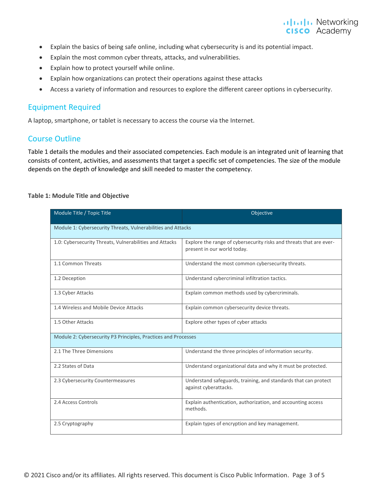#### **altala** Networking **CISCO** Academy

- Explain the basics of being safe online, including what cybersecurity is and its potential impact.
- Explain the most common cyber threats, attacks, and vulnerabilities.
- Explain how to protect yourself while online.
- Explain how organizations can protect their operations against these attacks
- Access a variety of information and resources to explore the different career options in cybersecurity.

#### <span id="page-2-0"></span>Equipment Required

<span id="page-2-1"></span>A laptop, smartphone, or tablet is necessary to access the course via the Internet.

#### Course Outline

Table 1 details the modules and their associated competencies. Each module is an integrated unit of learning that consists of content, activities, and assessments that target a specific set of competencies. The size of the module depends on the depth of knowledge and skill needed to master the competency.

| Module Title / Topic Title                                     | Objective                                                                                          |  |
|----------------------------------------------------------------|----------------------------------------------------------------------------------------------------|--|
| Module 1: Cybersecurity Threats, Vulnerabilities and Attacks   |                                                                                                    |  |
| 1.0: Cybersecurity Threats, Vulnerabilities and Attacks        | Explore the range of cybersecurity risks and threats that are ever-<br>present in our world today. |  |
| 1.1 Common Threats                                             | Understand the most common cybersecurity threats.                                                  |  |
| 1.2 Deception                                                  | Understand cybercriminal infiltration tactics.                                                     |  |
| 1.3 Cyber Attacks                                              | Explain common methods used by cybercriminals.                                                     |  |
| 1.4 Wireless and Mobile Device Attacks                         | Explain common cybersecurity device threats.                                                       |  |
| 1.5 Other Attacks                                              | Explore other types of cyber attacks                                                               |  |
| Module 2: Cybersecurity P3 Principles, Practices and Processes |                                                                                                    |  |
| 2.1 The Three Dimensions                                       | Understand the three principles of information security.                                           |  |
| 2.2 States of Data                                             | Understand organizational data and why it must be protected.                                       |  |
| 2.3 Cybersecurity Countermeasures                              | Understand safeguards, training, and standards that can protect<br>against cyberattacks.           |  |
| 2.4 Access Controls                                            | Explain authentication, authorization, and accounting access<br>methods.                           |  |
| 2.5 Cryptography                                               | Explain types of encryption and key management.                                                    |  |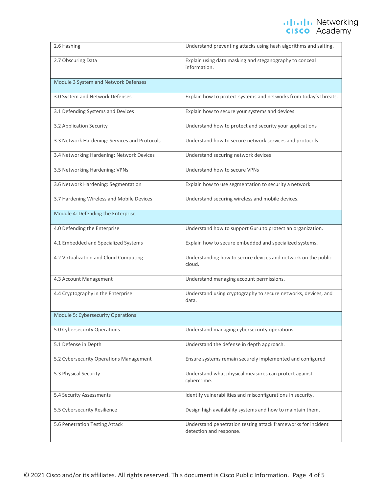## ululu Networking<br> **CISCO** Academy

| 2.6 Hashing                                   | Understand preventing attacks using hash algorithms and salting.                         |  |
|-----------------------------------------------|------------------------------------------------------------------------------------------|--|
| 2.7 Obscuring Data                            | Explain using data masking and steganography to conceal<br>information.                  |  |
| Module 3 System and Network Defenses          |                                                                                          |  |
| 3.0 System and Network Defenses               | Explain how to protect systems and networks from today's threats.                        |  |
| 3.1 Defending Systems and Devices             | Explain how to secure your systems and devices                                           |  |
| 3.2 Application Security                      | Understand how to protect and security your applications                                 |  |
| 3.3 Network Hardening: Services and Protocols | Understand how to secure network services and protocols                                  |  |
| 3.4 Networking Hardening: Network Devices     | Understand securing network devices                                                      |  |
| 3.5 Networking Hardening: VPNs                | Understand how to secure VPNs                                                            |  |
| 3.6 Network Hardening: Segmentation           | Explain how to use segmentation to security a network                                    |  |
| 3.7 Hardening Wireless and Mobile Devices     | Understand securing wireless and mobile devices.                                         |  |
| Module 4: Defending the Enterprise            |                                                                                          |  |
| 4.0 Defending the Enterprise                  | Understand how to support Guru to protect an organization.                               |  |
| 4.1 Embedded and Specialized Systems          | Explain how to secure embedded and specialized systems.                                  |  |
| 4.2 Virtualization and Cloud Computing        | Understanding how to secure devices and network on the public<br>cloud.                  |  |
| 4.3 Account Management                        | Understand managing account permissions.                                                 |  |
| 4.4 Cryptography in the Enterprise            | Understand using cryptography to secure networks, devices, and<br>data.                  |  |
| Module 5: Cybersecurity Operations            |                                                                                          |  |
| 5.0 Cybersecurity Operations                  | Understand managing cybersecurity operations                                             |  |
| 5.1 Defense in Depth                          | Understand the defense in depth approach.                                                |  |
| 5.2 Cybersecurity Operations Management       | Ensure systems remain securely implemented and configured                                |  |
| 5.3 Physical Security                         | Understand what physical measures can protect against<br>cybercrime.                     |  |
| 5.4 Security Assessments                      | Identify vulnerabilities and misconfigurations in security.                              |  |
| 5.5 Cybersecurity Resilience                  | Design high availability systems and how to maintain them.                               |  |
| 5.6 Penetration Testing Attack                | Understand penetration testing attack frameworks for incident<br>detection and response. |  |